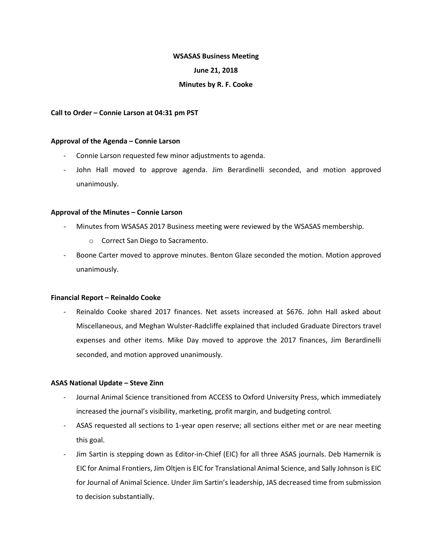#### **WSASAS Business Meeting**

### **June 21, 2018**

#### **Minutes by R. F. Cooke**

#### **Call to Order – Connie Larson at 04:31 pm PST**

#### **Approval of the Agenda – Connie Larson**

- Connie Larson requested few minor adjustments to agenda.
- John Hall moved to approve agenda. Jim Berardinelli seconded, and motion approved unanimously.

#### **Approval of the Minutes – Connie Larson**

- Minutes from WSASAS 2017 Business meeting were reviewed by the WSASAS membership.
	- o Correct San Diego to Sacramento.
- Boone Carter moved to approve minutes. Benton Glaze seconded the motion. Motion approved unanimously.

#### **Financial Report – Reinaldo Cooke**

Reinaldo Cooke shared 2017 finances. Net assets increased at \$676. John Hall asked about Miscellaneous, and Meghan Wulster-Radcliffe explained that included Graduate Directors travel expenses and other items. Mike Day moved to approve the 2017 finances, Jim Berardinelli seconded, and motion approved unanimously.

## **ASAS National Update – Steve Zinn**

- Journal Animal Science transitioned from ACCESS to Oxford University Press, which immediately increased the journal's visibility, marketing, profit margin, and budgeting control.
- ASAS requested all sections to 1-year open reserve; all sections either met or are near meeting this goal.
- Jim Sartin is stepping down as Editor-in-Chief (EIC) for all three ASAS journals. Deb Hamernik is EIC for Animal Frontiers, Jim Oltjen is EIC for Translational Animal Science, and Sally Johnson is EIC for Journal of Animal Science. Under Jim Sartin's leadership, JAS decreased time from submission to decision substantially.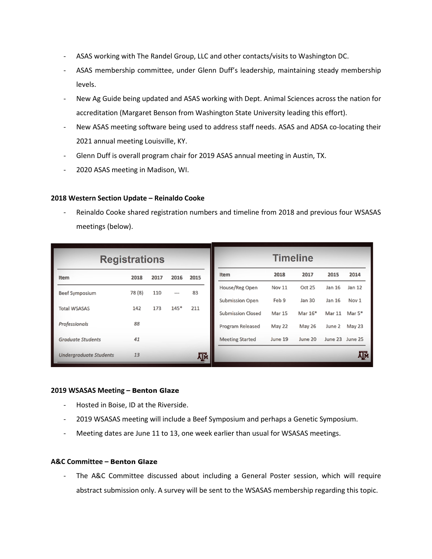- ASAS working with The Randel Group, LLC and other contacts/visits to Washington DC.
- ASAS membership committee, under Glenn Duff's leadership, maintaining steady membership levels.
- New Ag Guide being updated and ASAS working with Dept. Animal Sciences across the nation for accreditation (Margaret Benson from Washington State University leading this effort).
- New ASAS meeting software being used to address staff needs. ASAS and ADSA co-locating their 2021 annual meeting Louisville, KY.
- Glenn Duff is overall program chair for 2019 ASAS annual meeting in Austin, TX.
- 2020 ASAS meeting in Madison, WI.

# **2018 Western Section Update – Reinaldo Cooke**

Reinaldo Cooke shared registration numbers and timeline from 2018 and previous four WSASAS meetings (below).

| <b>Registrations</b>          |        |      |                |      | <b>Timeline</b>          |               |               |               |                  |
|-------------------------------|--------|------|----------------|------|--------------------------|---------------|---------------|---------------|------------------|
| Item                          | 2018   | 2017 | 2016           | 2015 | <b>Item</b>              | 2018          | 2017          | 2015          | 2014             |
| <b>Beef Symposium</b>         | 78 (8) | 110  | $\overline{a}$ | 83   | House/Reg Open           | <b>Nov 11</b> | <b>Oct 25</b> | Jan 16        | Jan 12           |
|                               |        |      |                |      | <b>Submission Open</b>   | Feb 9         | <b>Jan 30</b> | Jan 16        | Nov <sub>1</sub> |
| <b>Total WSASAS</b>           | 142    | 173  | $145*$         | 211  | <b>Submission Closed</b> | <b>Mar 15</b> | Mar $16*$     | <b>Mar 11</b> | Mar $5*$         |
| <b>Professionals</b>          | 88     |      |                |      | <b>Program Released</b>  | May 22        | <b>May 26</b> | June 2        | May 23           |
| <b>Graduate Students</b>      | 41     |      |                |      | <b>Meeting Started</b>   | June 19       | June 20       | June 23       | June 25          |
| <b>Undergraduate Students</b> | 13     |      |                | ĀГм  |                          |               |               |               | Āм               |

### **2019 WSASAS Meeting – Benton Glaze**

- Hosted in Boise, ID at the Riverside.
- 2019 WSASAS meeting will include a Beef Symposium and perhaps a Genetic Symposium.
- Meeting dates are June 11 to 13, one week earlier than usual for WSASAS meetings.

## **A&C Committee – Benton Glaze**

The A&C Committee discussed about including a General Poster session, which will require abstract submission only. A survey will be sent to the WSASAS membership regarding this topic.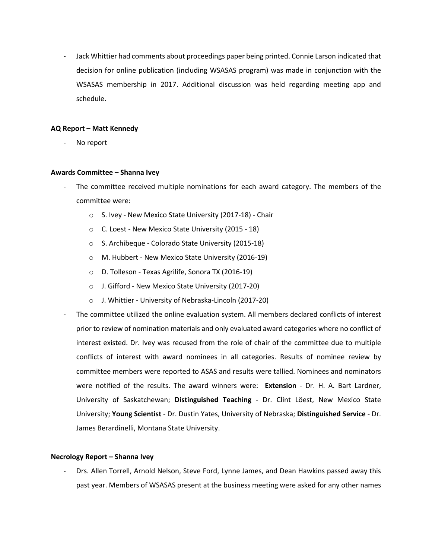- Jack Whittier had comments about proceedings paper being printed. Connie Larson indicated that decision for online publication (including WSASAS program) was made in conjunction with the WSASAS membership in 2017. Additional discussion was held regarding meeting app and schedule.

### **AQ Report – Matt Kennedy**

- No report

### **Awards Committee – Shanna Ivey**

- The committee received multiple nominations for each award category. The members of the committee were:
	- o S. Ivey New Mexico State University (2017-18) Chair
	- o C. Loest New Mexico State University (2015 18)
	- o S. Archibeque Colorado State University (2015-18)
	- o M. Hubbert New Mexico State University (2016-19)
	- o D. Tolleson Texas Agrilife, Sonora TX (2016-19)
	- o J. Gifford New Mexico State University (2017-20)
	- o J. Whittier University of Nebraska-Lincoln (2017-20)
- The committee utilized the online evaluation system. All members declared conflicts of interest prior to review of nomination materials and only evaluated award categories where no conflict of interest existed. Dr. Ivey was recused from the role of chair of the committee due to multiple conflicts of interest with award nominees in all categories. Results of nominee review by committee members were reported to ASAS and results were tallied. Nominees and nominators were notified of the results. The award winners were: **Extension** - Dr. H. A. Bart Lardner, University of Saskatchewan; **Distinguished Teaching** - Dr. Clint Löest, New Mexico State University; **Young Scientist** - Dr. Dustin Yates, University of Nebraska; **Distinguished Service** - Dr. James Berardinelli, Montana State University.

### **Necrology Report – Shanna Ivey**

- Drs. Allen Torrell, Arnold Nelson, Steve Ford, Lynne James, and Dean Hawkins passed away this past year. Members of WSASAS present at the business meeting were asked for any other names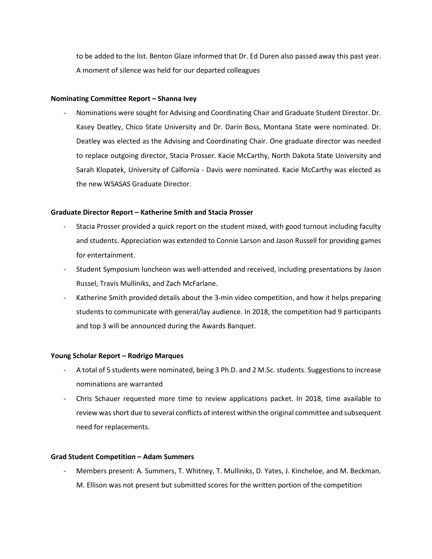to be added to the list. Benton Glaze informed that Dr. Ed Duren also passed away this past year. A moment of silence was held for our departed colleagues

### **Nominating Committee Report – Shanna Ivey**

- Nominations were sought for Advising and Coordinating Chair and Graduate Student Director. Dr. Kasey Deatley, Chico State University and Dr. Darin Boss, Montana State were nominated. Dr. Deatley was elected as the Advising and Coordinating Chair. One graduate director was needed to replace outgoing director, Stacia Prosser. Kacie McCarthy, North Dakota State University and Sarah Klopatek, University of Calfornia - Davis were nominated. Kacie McCarthy was elected as the new WSASAS Graduate Director.

### **Graduate Director Report – Katherine Smith and Stacia Prosser**

- Stacia Prosser provided a quick report on the student mixed, with good turnout including faculty and students. Appreciation was extended to Connie Larson and Jason Russell for providing games for entertainment.
- Student Symposium luncheon was well-attended and received, including presentations by Jason Russel, Travis Mulliniks, and Zach McFarlane.
- Katherine Smith provided details about the 3-min video competition, and how it helps preparing students to communicate with general/lay audience. In 2018, the competition had 9 participants and top 3 will be announced during the Awards Banquet.

### **Young Scholar Report – Rodrigo Marques**

- A total of 5 students were nominated, being 3 Ph.D. and 2 M.Sc. students. Suggestions to increase nominations are warranted
- Chris Schauer requested more time to review applications packet. In 2018, time available to review was short due to several conflicts of interest within the original committee and subsequent need for replacements.

### **Grad Student Competition – Adam Summers**

Members present: A. Summers, T. Whitney, T. Mulliniks, D. Yates, J. Kincheloe, and M. Beckman. M. Ellison was not present but submitted scores for the written portion of the competition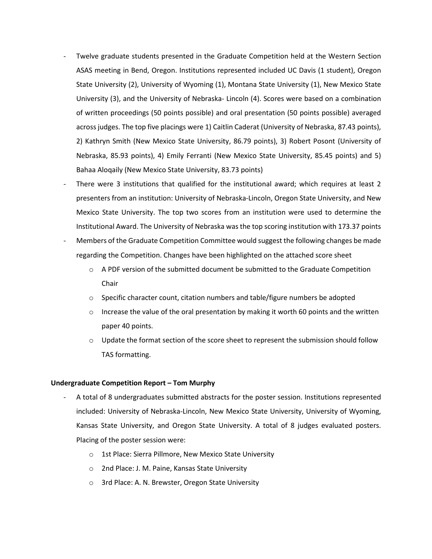- Twelve graduate students presented in the Graduate Competition held at the Western Section ASAS meeting in Bend, Oregon. Institutions represented included UC Davis (1 student), Oregon State University (2), University of Wyoming (1), Montana State University (1), New Mexico State University (3), and the University of Nebraska- Lincoln (4). Scores were based on a combination of written proceedings (50 points possible) and oral presentation (50 points possible) averaged across judges. The top five placings were 1) Caitlin Caderat (University of Nebraska, 87.43 points), 2) Kathryn Smith (New Mexico State University, 86.79 points), 3) Robert Posont (University of Nebraska, 85.93 points), 4) Emily Ferranti (New Mexico State University, 85.45 points) and 5) Bahaa Aloqaily (New Mexico State University, 83.73 points)
- There were 3 institutions that qualified for the institutional award; which requires at least 2 presenters from an institution: University of Nebraska-Lincoln, Oregon State University, and New Mexico State University. The top two scores from an institution were used to determine the Institutional Award. The University of Nebraska was the top scoring institution with 173.37 points
- Members of the Graduate Competition Committee would suggest the following changes be made regarding the Competition. Changes have been highlighted on the attached score sheet
	- $\circ$  A PDF version of the submitted document be submitted to the Graduate Competition Chair
	- $\circ$  Specific character count, citation numbers and table/figure numbers be adopted
	- $\circ$  Increase the value of the oral presentation by making it worth 60 points and the written paper 40 points.
	- $\circ$  Update the format section of the score sheet to represent the submission should follow TAS formatting.

# **Undergraduate Competition Report – Tom Murphy**

- A total of 8 undergraduates submitted abstracts for the poster session. Institutions represented included: University of Nebraska-Lincoln, New Mexico State University, University of Wyoming, Kansas State University, and Oregon State University. A total of 8 judges evaluated posters. Placing of the poster session were:
	- o 1st Place: Sierra Pillmore, New Mexico State University
	- o 2nd Place: J. M. Paine, Kansas State University
	- o 3rd Place: A. N. Brewster, Oregon State University